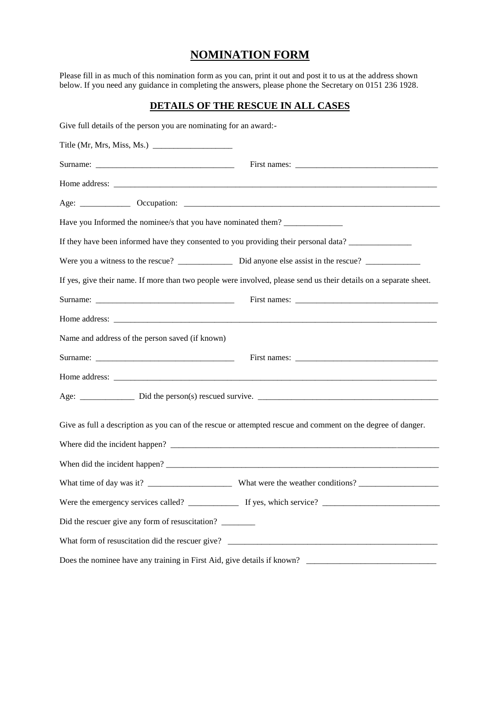# **NOMINATION FORM**

Please fill in as much of this nomination form as you can, print it out and post it to us at the address shown below. If you need any guidance in completing the answers, please phone the Secretary on 0151 236 1928.

# **DETAILS OF THE RESCUE IN ALL CASES**

| Give full details of the person you are nominating for an award:-                |                                                                                                                   |
|----------------------------------------------------------------------------------|-------------------------------------------------------------------------------------------------------------------|
|                                                                                  |                                                                                                                   |
|                                                                                  |                                                                                                                   |
|                                                                                  |                                                                                                                   |
|                                                                                  |                                                                                                                   |
| Have you Informed the nominee/s that you have nominated them? __________________ |                                                                                                                   |
|                                                                                  | If they have been informed have they consented to you providing their personal data?                              |
|                                                                                  |                                                                                                                   |
|                                                                                  | If yes, give their name. If more than two people were involved, please send us their details on a separate sheet. |
|                                                                                  |                                                                                                                   |
|                                                                                  |                                                                                                                   |
| Name and address of the person saved (if known)                                  |                                                                                                                   |
|                                                                                  |                                                                                                                   |
|                                                                                  |                                                                                                                   |
|                                                                                  |                                                                                                                   |
|                                                                                  | Give as full a description as you can of the rescue or attempted rescue and comment on the degree of danger.      |
|                                                                                  |                                                                                                                   |
|                                                                                  |                                                                                                                   |
|                                                                                  |                                                                                                                   |
| Did the rescuer give any form of resuscitation?                                  |                                                                                                                   |
|                                                                                  |                                                                                                                   |
|                                                                                  |                                                                                                                   |